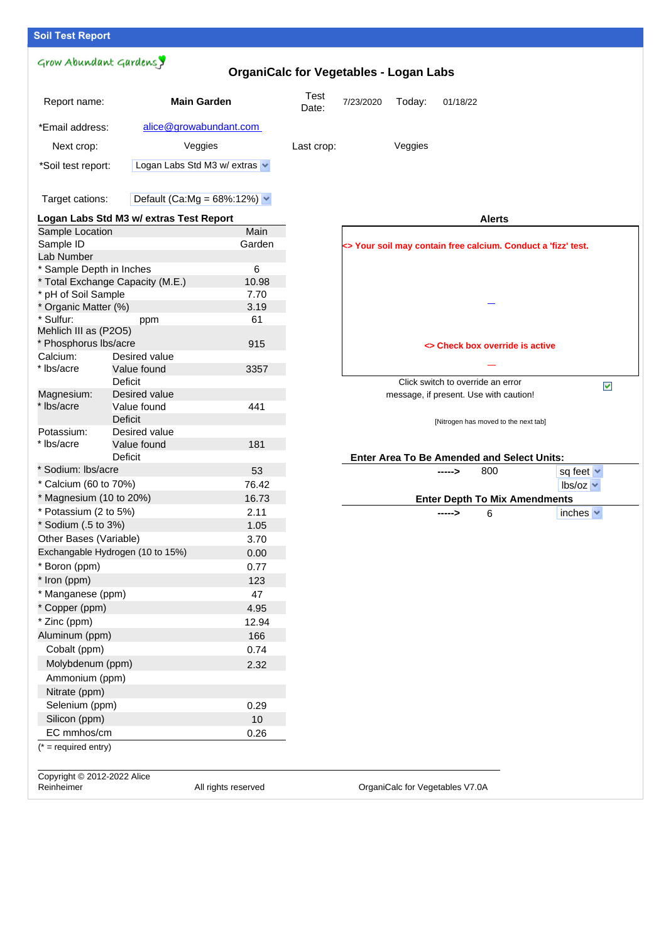## **Soil Test Report**

## Grow Abundant Gardens y **OrganiCalc for Vegetables - Logan Labs** Report name: **Main Garden** Test<br>Date: 7/23/2020 Today: 01/18/22 \*Email address: alice@growabundant.com Next crop: The Veggies Class Crop: Veggies Class Crop: Veggies \*Soil test report: Logan Labs Std M3 w/ extras v Target cations: Default (Ca:Mg =  $68\%:12\%$ )  $\blacktriangleright$ **Logan Labs Std M3 w/ extras Test Report Alerts** Sample Location Main Sample ID Garden **<> Your soil may contain free calcium. Conduct a 'fizz' test.** Lab Number \* Sample Depth in Inches 6 \* Total Exchange Capacity (M.E.) 10.98 \* pH of Soil Sample 7.70 \* Organic Matter (%) 3.19 \* Sulfur: ppm 61 Mehlich III as (P2O5) \* Phosphorus lbs/acre 915 **<> Check box override is active** Calcium: Desired value \* lbs/acre Value found 3357 Deficit Click switch to override an error  $\blacktriangledown$ Magnesium: Desired value message, if present. Use with caution! \* lbs/acre Value found 441 Deficit [Nitrogen has moved to the next tab] Potassium: Desired value \* lbs/acre Value found 181 Deficit **Enter Area To Be Amended and Select Units:** \* Sodium: lbs/acre 53 **----->** 800 sq feet  $\sim$ \* Calcium (60 to 70%) 76.42 lbs/oz  $*$  Magnesium (10 to 20%) 16.73 **Enter Depth To Mix Amendments**  $*$  Potassium (2 to 5%) 2.11 **->** 6 inches \* Sodium (.5 to 3%) 1.05 Other Bases (Variable) 3.70 Exchangable Hydrogen (10 to 15%) 0.00 \* Boron (ppm) 0.77 \* Iron (ppm) 123 \* Manganese (ppm) 47 \* Copper (ppm) 4.95 \* Zinc (ppm) 12.94 Aluminum (ppm) 166 Cobalt (ppm) 0.74 Molybdenum (ppm) 2.32 Ammonium (ppm) Nitrate (ppm) Selenium (ppm) 0.29 Silicon (ppm) 10 EC mmhos/cm 0.26  $(* = required entry)$ Copyright © 2012-2022 Alice

Reinheimer **All rights reserved** OrganiCalc for Vegetables V7.0A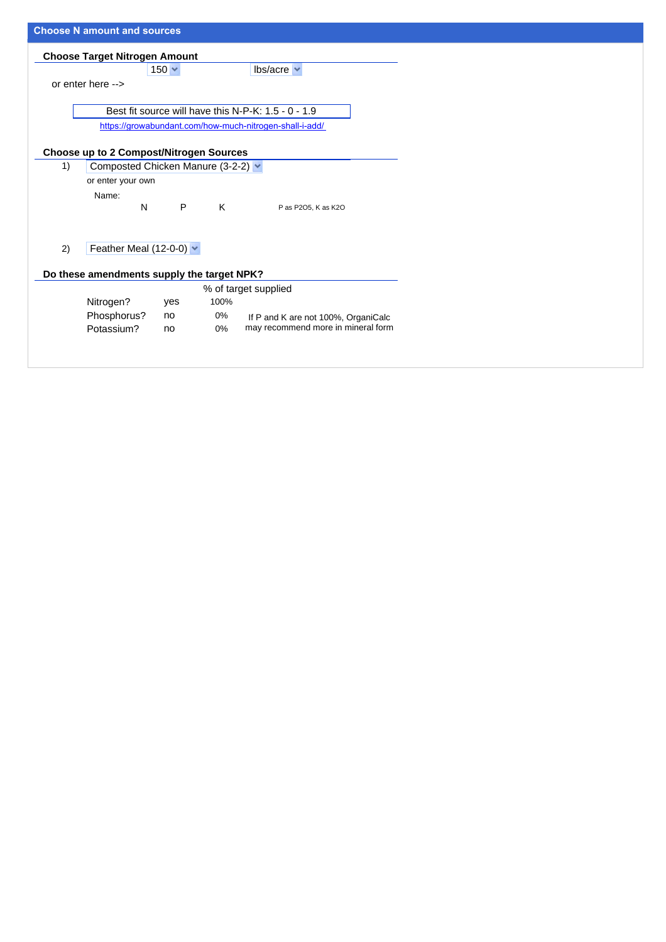|                                                | <b>Choose N amount and sources</b>                      |              |       |                                                                           |  |  |  |
|------------------------------------------------|---------------------------------------------------------|--------------|-------|---------------------------------------------------------------------------|--|--|--|
| <b>Choose Target Nitrogen Amount</b>           |                                                         |              |       |                                                                           |  |  |  |
|                                                |                                                         | $150 \times$ |       | $lbs/acre \sim$                                                           |  |  |  |
|                                                | or enter here -->                                       |              |       |                                                                           |  |  |  |
|                                                |                                                         |              |       |                                                                           |  |  |  |
|                                                | Best fit source will have this N-P-K: 1.5 - 0 - 1.9     |              |       |                                                                           |  |  |  |
|                                                | https://growabundant.com/how-much-nitrogen-shall-i-add/ |              |       |                                                                           |  |  |  |
| <b>Choose up to 2 Compost/Nitrogen Sources</b> |                                                         |              |       |                                                                           |  |  |  |
| 1)                                             | Composted Chicken Manure (3-2-2) v                      |              |       |                                                                           |  |  |  |
|                                                | or enter your own                                       |              |       |                                                                           |  |  |  |
|                                                | Name:                                                   |              |       |                                                                           |  |  |  |
|                                                | N                                                       | P            | K     | P as P2O5, K as K2O                                                       |  |  |  |
|                                                |                                                         |              |       |                                                                           |  |  |  |
| 2)                                             | Feather Meal (12-0-0) $\vee$                            |              |       |                                                                           |  |  |  |
|                                                |                                                         |              |       |                                                                           |  |  |  |
|                                                | Do these amendments supply the target NPK?              |              |       |                                                                           |  |  |  |
|                                                |                                                         |              |       | % of target supplied                                                      |  |  |  |
|                                                | Nitrogen?                                               | yes          | 100%  |                                                                           |  |  |  |
|                                                | Phosphorus?                                             | no           | 0%    | If P and K are not 100%, OrganiCalc<br>may recommend more in mineral form |  |  |  |
|                                                | Potassium?                                              | no           | $0\%$ |                                                                           |  |  |  |
|                                                |                                                         |              |       |                                                                           |  |  |  |
|                                                |                                                         |              |       |                                                                           |  |  |  |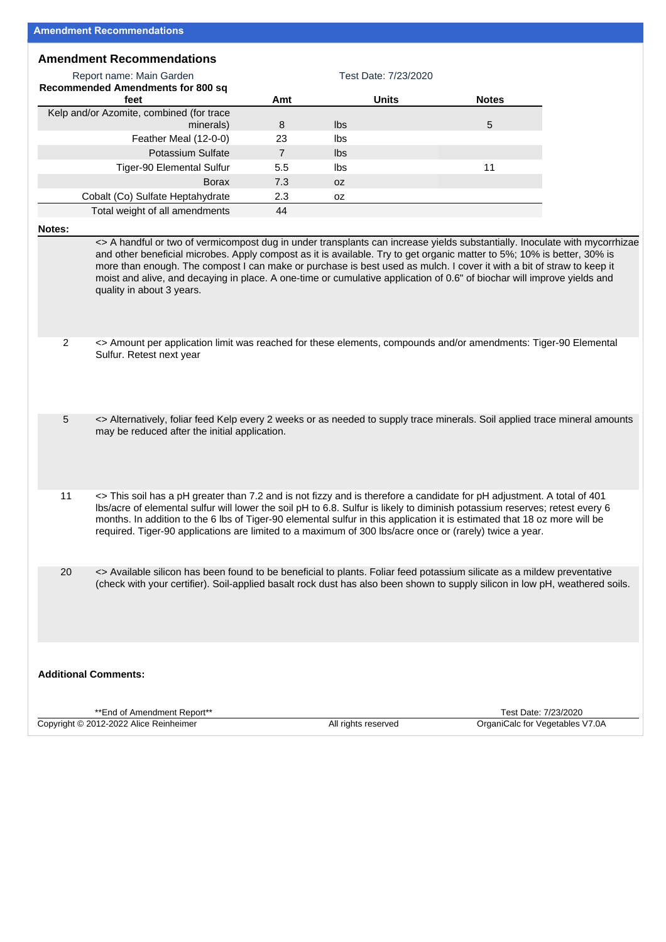### **Amendment Recommendations**

| Report name: Main Garden                 | Test Date: 7/23/2020 |       |              |  |  |
|------------------------------------------|----------------------|-------|--------------|--|--|
| <b>Recommended Amendments for 800 sq</b> |                      |       |              |  |  |
| feet                                     | Amt                  | Units | <b>Notes</b> |  |  |
| Kelp and/or Azomite, combined (for trace |                      |       |              |  |  |
| minerals)                                | 8                    | lbs   | 5            |  |  |
| Feather Meal (12-0-0)                    | 23                   | lbs   |              |  |  |
| Potassium Sulfate                        |                      | lbs.  |              |  |  |
| <b>Tiger-90 Elemental Sulfur</b>         | 5.5                  | lbs   | 11           |  |  |
| <b>Borax</b>                             | 7.3                  | 0Z    |              |  |  |
| Cobalt (Co) Sulfate Heptahydrate         | 2.3                  | 0Z    |              |  |  |
| Total weight of all amendments           | 44                   |       |              |  |  |

#### **Notes:**

<> A handful or two of vermicompost dug in under transplants can increase yields substantially. Inoculate with mycorrhizae and other beneficial microbes. Apply compost as it is available. Try to get organic matter to 5%; 10% is better, 30% is more than enough. The compost I can make or purchase is best used as mulch. I cover it with a bit of straw to keep it moist and alive, and decaying in place. A one-time or cumulative application of 0.6" of biochar will improve yields and quality in about 3 years.

- 2 <> Amount per application limit was reached for these elements, compounds and/or amendments: Tiger-90 Elemental Sulfur. Retest next year
- 5 <> Alternatively, foliar feed Kelp every 2 weeks or as needed to supply trace minerals. Soil applied trace mineral amounts may be reduced after the initial application.
- 11 <> This soil has a pH greater than 7.2 and is not fizzy and is therefore a candidate for pH adjustment. A total of 401 lbs/acre of elemental sulfur will lower the soil pH to 6.8. Sulfur is likely to diminish potassium reserves; retest every 6 months. In addition to the 6 lbs of Tiger-90 elemental sulfur in this application it is estimated that 18 oz more will be required. Tiger-90 applications are limited to a maximum of 300 lbs/acre once or (rarely) twice a year.
- 20 <> Available silicon has been found to be beneficial to plants. Foliar feed potassium silicate as a mildew preventative (check with your certifier). Soil-applied basalt rock dust has also been shown to supply silicon in low pH, weathered soils.

#### **Additional Comments:**

| **End of Amendment Report**            |                     | 7/23/2020<br>Date:<br>Γest      |
|----------------------------------------|---------------------|---------------------------------|
| Copyright © 2012-2022 Alice Reinheimer | All rights reserved | OrganiCalc for Vegetables V7.0A |